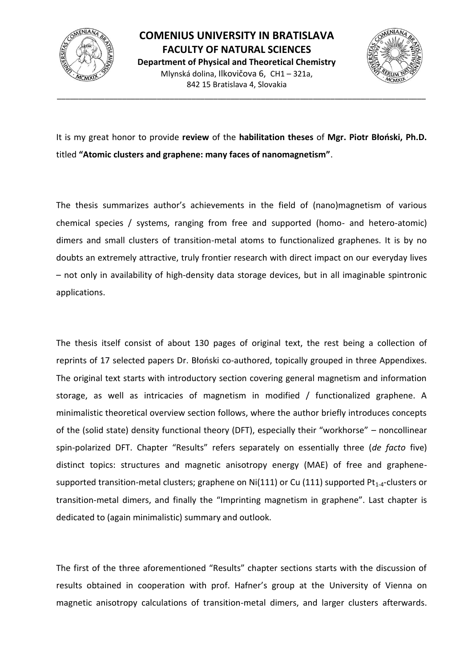



It is my great honor to provide **review** of the **habilitation theses** of **Mgr. Piotr Błoński, Ph.D.** titled **"Atomic clusters and graphene: many faces of nanomagnetism"**.

\_\_\_\_\_\_\_\_\_\_\_\_\_\_\_\_\_\_\_\_\_\_\_\_\_\_\_\_\_\_\_\_\_\_\_\_\_\_\_\_\_\_\_\_\_\_\_\_\_\_\_\_\_\_\_\_\_\_\_\_\_\_\_\_\_\_\_\_\_\_\_\_\_\_\_\_\_\_\_\_\_\_\_\_\_

The thesis summarizes author's achievements in the field of (nano)magnetism of various chemical species / systems, ranging from free and supported (homo- and hetero-atomic) dimers and small clusters of transition-metal atoms to functionalized graphenes. It is by no doubts an extremely attractive, truly frontier research with direct impact on our everyday lives – not only in availability of high-density data storage devices, but in all imaginable spintronic applications.

The thesis itself consist of about 130 pages of original text, the rest being a collection of reprints of 17 selected papers Dr. Błoński co-authored, topically grouped in three Appendixes. The original text starts with introductory section covering general magnetism and information storage, as well as intricacies of magnetism in modified / functionalized graphene. A minimalistic theoretical overview section follows, where the author briefly introduces concepts of the (solid state) density functional theory (DFT), especially their "workhorse" – noncollinear spin-polarized DFT. Chapter "Results" refers separately on essentially three (*de facto* five) distinct topics: structures and magnetic anisotropy energy (MAE) of free and graphenesupported transition-metal clusters; graphene on Ni(111) or Cu (111) supported  $Pt_{1-4}$ -clusters or transition-metal dimers, and finally the "Imprinting magnetism in graphene". Last chapter is dedicated to (again minimalistic) summary and outlook.

The first of the three aforementioned "Results" chapter sections starts with the discussion of results obtained in cooperation with prof. Hafner's group at the University of Vienna on magnetic anisotropy calculations of transition-metal dimers, and larger clusters afterwards.